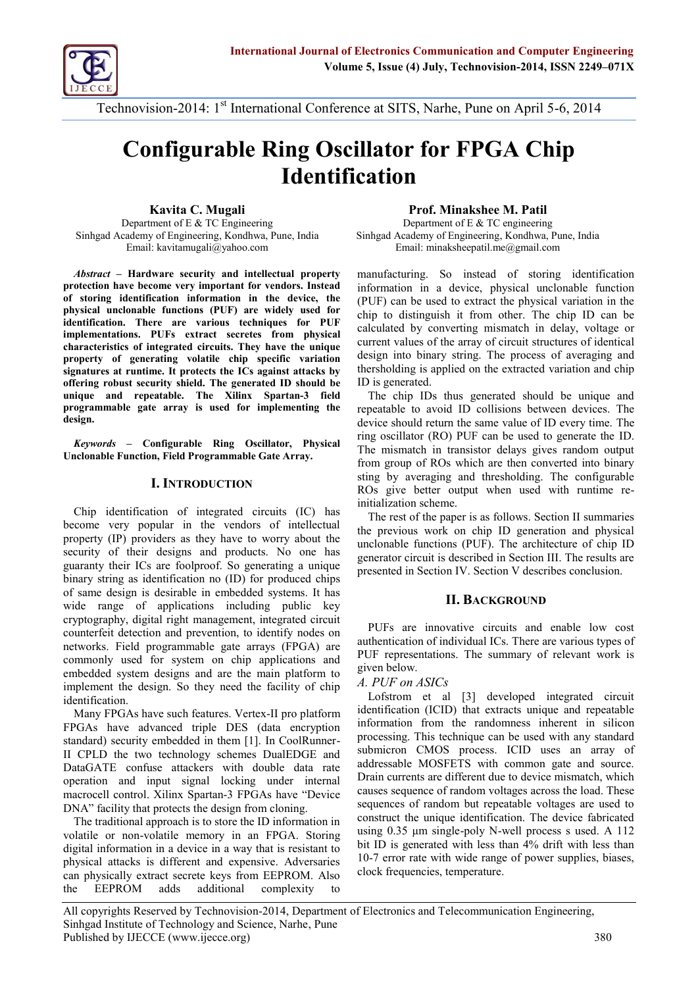Technov-2sOitoff: International Conference at SITS-6, N2aOthe, Pune

# Configurable Ring Oscillator for F Identification

[Kavita C. Mu](mailto:kavitamugali@yahoo.com)gali Department TCEngineering Sinhgad Academy of **Elongidnewear,in P**gun Sinhgad Academy of **Elongidnewear,in P**gun Emaklavitamugali@yahoo.com

Prof. Minakshee M. Path Departmen&TC engineering Emaminaksh[eepatil.me](mailto:me@gmail.com)@gmail

AbstrachHardware security and i**peerthemanual francoturinignsteSsend** ofnigstiodneintification protection have become very importantino r rand on Instepade was b, unclonable fun of storing identification information in pulse of storing the physical donable functions (PUF) are  $\lambda w_i$  dely  $\lambda u$  sequestions identificatibare are various techniques for PUF implementations.ex. Pullets secretes from physical characteristics of cincegtrsateTchey have the unique property of generatinconsipvostapteichic va<sup>nd</sup>ation signatures at runtime. IC prage cnst the tacks r spolding is applied vaniathe me xatracted both offering robust securitgyers brieft **B**ds Thiosuld ble is generated.  $\eta$ PU)F) Cleavh C Be Useetoheto oploeystical transition i ્c<sup>w</sup>hi<sup>p</sup>p પ્<sub></sub>o <sup>u</sup>shis tinguish iThe comhi**p** thiBircan be calculated by convertindgelanyismvaotlotagen.lay, لَا salc , ເປີ ກໍ່ຕ້ອງກໍ່ມີ Valuhees ao rray osttrouiorbouniots of identio  $\partial_{\theta} \phi$ esign into binary strinog a $\nabla$ beaopinogceasnsd

unique and repeatable. STphært- & Xilffine xid The chip IDs thus generated should I programmable gate arrayimipleumsed tifrogrebpeatable to avisidn bD beotween devices. design. device should return the same  $\bar{v}$  alwe of I

Keywords Configurable Ring Oscillator, Physical Unclonable Function, Field Programmable Gate Array. ring oscillator (RO) PUF can be Dused to The mismatch in transistor delays gives". from group of ROs which are then convert

## I.INTRODUCTION

stign by averaging and thresholding. Th ROsgive better output when used with initialization scheme.

Chip idfectation of integrated circuits  $\left[\begin{matrix}C & C \\ C & D\end{matrix}\right]$ becomery popular in the vendors  $\beta$  intellectual  $\mathsf{propertype}$  (bR) ders as they have to  $\mathsf{WOT}(\mathcal{Y}_p, \mathcal{Y}_p)$  about the security of delaining and products.  $N\alpha$  one has guaranty their  $\log$  promot. So generating a unique binary striidhegn aissication no (ID) for produced chips of same destegnatie in embedded systems. It has The rest of the paper is as follows. Sec ትthe previous work on chip ID generation and physical unclonable functions (P UF). The architecture of chip ID generator circuit is described in Section presented in Section IV. Section V descr

of same decreasingle in embedded systems. It IT BACKGROUND

cryptography, dingain algeing bint, integrated circuit

counterfeit detpeceivoientantoolidentify not person, fi networks.pFroegliclammable gate array용 (15만명A) 4Ye commonly usseydstfeom on chip applications Pand embedded systeam ddeasriegntshe main platform of the m  $P\overline{\mu}_e$  $F_s$   $\overline{a}$   $\overline{r}$  e innovative circuits and enable  $\overline{a}$ ,ä.ŭt̃pĕ̃on-t̃ication of inTohievrieduaarle loCasrious type  $\beta$ UF representations. The summary of relevant  $\beta$  $\mathfrak{g}$  is  $\mathfrak{g}$  and be look.

implement the desingened Stohethfoen,cility<sup>A</sup>of<sup>F</sup>ch<sup>ri</sup>p  $A_0$   $B_1$   $B_2$   $B_3$   $C_5$   $D_6$   $D_7$   $D_8$   $D_8$   $D_8$   $D_8$   $D_8$   $D_8$   $D_8$   $D_8$   $D_8$   $D_8$   $D_8$   $D_8$   $D_8$   $D_8$   $D_8$   $D_8$   $D_8$   $D_8$   $D_8$   $D_8$   $D_8$   $D_8$   $D_8$   $D_8$   $D_8$   $D_8$   $D_8$   $D_8$   $D_8$   $D_8$ 

identification. May FPGAs have such feature plated for thication (ICID) that extracts unique FPGAs have advanced triple DES<sup>ni</sup>(NdHatlenc<u>ryption</u> standasnedc) urity embedded in them [1]. <sup>U</sup>n<sup>de</sup>resole PRunner -II CPLD twhce technology schemes DSu<sup>u</sup>al吧DGE<sup>n</sup> and DataGA The fuse attackers with done beha<sup>rd</sup> e batalera Me opetrion and inigual locking under raintering is are different due to device model macrocell controlation. The control of random or the sequence of random or the load. The DNA facility that to dest seights from cloning uences of random but repeatable vol Lofstrom et al [3] developed integ  $\alpha$ infoyr $\pi$ patio $\alpha$  from  $\alpha$  the randomnessiscom hel  $\bar{p}$ ro $\bar{q}$ e $\bar{q}$ sing $\bar{q}$   $\bar{q}$   $\bar{q}$  any  $\bar{q}$  technique can be used ysµybım≘ncrone an an armay of process. ICID uses  $\mathsf{add}$ e $\mathsf{s}$ s $\mathsf{add}$ le $_\mathsf{r}$  $\mathsf{M}$  $\mathsf{D}$  SFETS with common gate

The traditional approach is to store the ID information in volatile ovrolmactinie memory in SatonriFieg<sup>1</sup>A. digitian formation in a device in a way that is अक्टूडिडिडिसि पि physicalatacks is different and expensive. Adversaries caphysically extract secrete keys from KEEPROMS, Algmperature. the EEPROM adds additional complexity to  $r$ <sub>c</sub>onstrungt; the  $r$   $\mu$   $q$  ique identification. The pelacing 0.35 ¼ pm olsy in Nogle process s used. A  $\mathfrak{h}$ it $\mathsf{Q}$  is generated with less than 4% drift  $10.76$ eror ra $10$  rate with wide range of power supplies, biases,  $100$ 

All copyrights REsehwed-250yt **D**eptrment Electronics and Telecommunication Engineering Sinhgad Institute of TechnologPyuand Science, Narhe Published by [IJECCE](www.ijecce.org) (www.ijecce.org) 380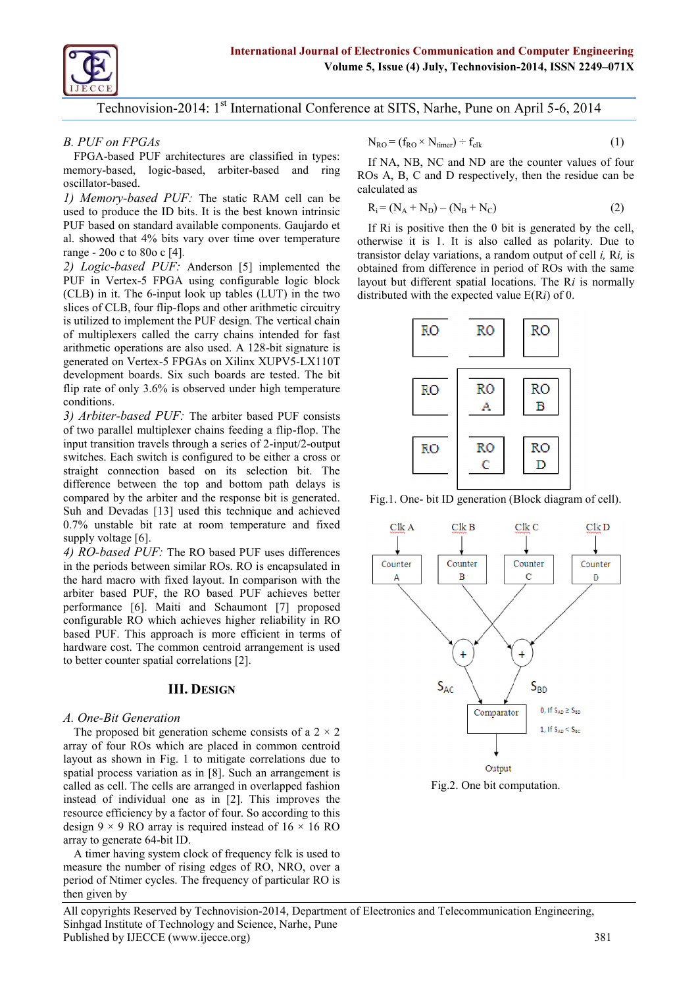# Technov-2s0ioff: International Conference at SITS-6, N2a0 he, Pune

B. PUF on FPGAs  $FPGB$ ased PUF architectures are classified  $E^{\dagger}$ ,  $A$   $A$   $P$  $R$  $B$  are the counter value  $m$ emo-broased, -boagsiecd, abrabisteedr and o scillabtaosred. 1) Memboayed PTU Festatic RAM cell can be uset the ID bits. It is the  $\mathbb{R}$   $\mathbb{F}_{S}$   $\mathbb{R}$   $\mathbb{R}$   $\mathbb{R}$   $\mathbb{R}$   $\mathbb{R}$   $\mathbb{R}$   $\mathbb{R}$   $\mathbb{R}$   $\mathbb{R}$   $\mathbb{R}$   $\mathbb{R}$  in the interference  $(2)$ PUFbased on standard available compoon pois. Gostin and othed n the 0 bit is gene alshowed that 4% bits vary over time to we he iempperanture is also Duelltecool as rang $200$  c to  $800$  c  $[4]$ 2) Logiacsed PAUnFdersonim[p5l]emented obthaeinfeodm difference in period of ROs w PUFin VersfekFPGA using configurableaybougtiobithtelorekht spatial locastion.osmaTlhye R (CLB) if n Thenp6 ut look up tables (LUdTi)s tim b twhite holt who eexpected blow fall ue E(R slice  $\mathcal{L}$   $\mathsf{DB}$ , fou-flops and other arithmetic circuitry is utilt *p*eid mplement the PUF design. The vertical chain ofmultipxers called the carry chains intended for fast  $arithmetic$  operations are bialsognature A is 128 generated on FPGAs on XilinLxX X UOPTV 5 development boards. Six such boards are tested. The bit fliprate of only 3.6% is **b**iosn't been dpenateurre conditions. 3) Arbbiteered PTUIE: arbiter based PUF consists oftwo parallel multiplexer chains Teheding a flip input transition travels the nound only a series of  $2$ switches. Each switch is condinguise outo be either a straight connection based on its selection bit. The differebetween the top and bottom path delays is compared aby bit heer and the response bitigs 1g-Conneclo and ration (Block diagram of Suh and  $D\phi$  valuas ed this technique and achieved 0.7% unstable abit mond temperature and fixed supply voltage [6]. 4) RICased PTUIE: RO based PUF uses differences in the periods between similar ROs. RO is encapsulated in the hard macro with Infixed mpay in with the arbiter based PUF, tPhelFR@ chbiaestessing performance [6]. Maiti and proposed ont configurable RO which achieves whigher O based PUF. This approachinistem onse cefficient hardware T to ast. ommon centroid arrangement is used to betteunter spatialns of 2 plat  $N_{\text{RO}} = k \delta \times N_{\text{m}} \partial_{\text{r}} \div_{\text{cl}} k$  (1)  $R\overset{\bullet}{U}\overset{\bullet}{S}$  A, B, C and D respectively, then the calculated as transideday variations, a rando Rmisutput

#### **IIIDESIGN**

A. O-Bet Generation

The proposed bit generation scheme consists of a 2 × 2 array of four ROs which are placed in common centroid layout as shown in Fig. 1 to mitigate correlations due to spatial process variation an anarrangement is called as cell. The cells are arranged in oveFrilgap2pe@Infeasbhitoonomputation. instead of individual one as in [2]. This improves the resource efficiency by a factor of four. So according to this design 9 × 9 RO array is required instead of 16 × 16 RO ar yato gene-batel  $\mathbf{B}$  4

A timer having system clock of frequency fclk is used to measure the number of rising edges of RO, NRO, over a period of Ntimer cycles. The frequency of particular RO is then given by

All copyrights REsehwed-280yt **D**eptrment Electronics and Telecommunication Engineering Sinhgad Institute of TechnologPyuand Science, Narhe Published by [IJECCE](www.ijecce.org) (www.ijecce.org) 381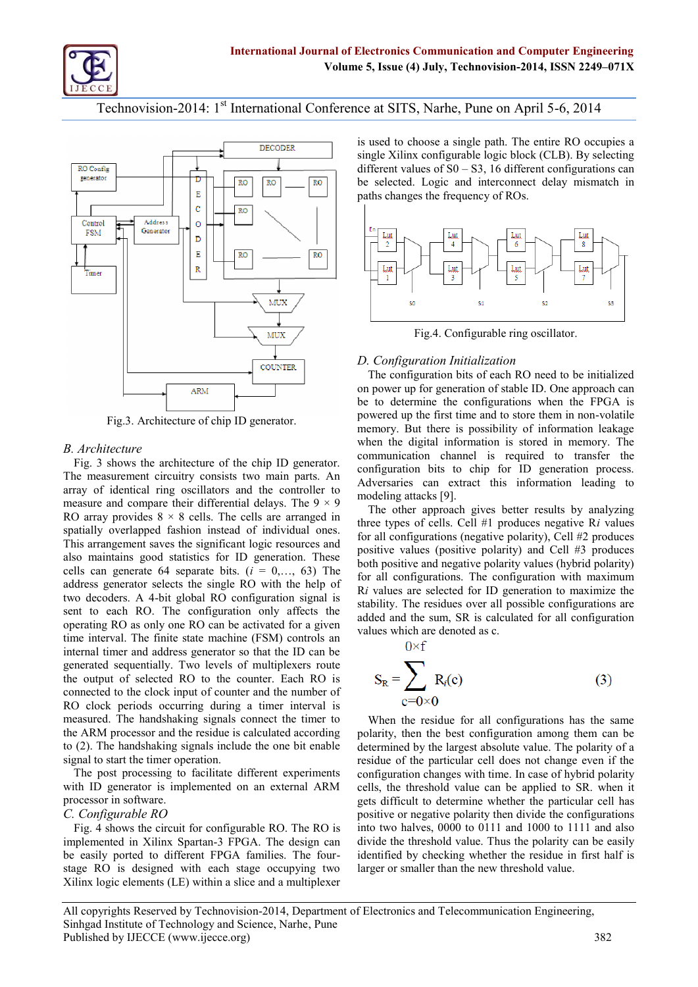Technov-2s0ioff: International Conference at SITS-6, N2a0 he, Pune

is used hto bose a single path. The entire F single Xdbimfxigurable logic block (CLB). B different ues of \$3,016 different configurations can be sele**t begde** and nintenent delay mismatch  $p$  aths chan  $f$ ge qutency of ROs.

Fig. 4. Configurable ring oscillator

memory. But there is possibility of info when the digital information is stored

D. Configuration Initialization

The configuration bits of each RO need on power up for generation of stable ID. be tobetermine the configurations when

Fig.3. Architecture of chip ID game and the first time and doasile are them

B. Architecture

Fig. 3 shows the architecture of  $t^{\prime\prime}_{\rm H}$   $\epsilon^{\prime\prime}_{\rm L}$   $\epsilon^{\prime\prime}_{\rm H}$   $\epsilon^{\prime\prime}_{\rm H}$   $\epsilon^{\prime\prime}_{\rm H}$  at  $\epsilon^{\prime\prime}_{\rm L}$ . The measurement circuitry consists  $\frac{1}{2}$  ( $w_0$ ) main parts.  $\Delta p$  $\alpha$ rragfidentical ring oscillators and the controller to  $m$ easure compare their differ $\overline{m}$  and  $\overline{m}$   $\overline{m}$   $\overline{m}$   $\overline{m}$ communication channel isramedeurretone to configuration bits to chip for ID gene Adversaries can extract this informati $\lambda$  $\Delta$ m $\alpha$  $\beta$ d $\beta$ lan $\beta$ d $\beta$ lan $\gamma$ d $\beta$ landa $\gamma$ The other approach gives better results by an

RO array provides  $8 \times 8$  cantitang Tende in  $\phi(\vec{x})$  is are spatially overlapped fashion ionsetead  $\alpha$  in  $\alpha$ ,  $\alpha$ ,  $\alpha$ ,  $\alpha$ This arrangement savnetslot**ge**c sri**eganoifolic**aes also maintains good statistics for  $\Gamma$ (T) generation. These cells can generate 64 separate bits.  $\mathbb{F}_4$ address generator selects the songle  $RQ'$  with the  $\frac{1}{2}$ two decode-bsit Alo4bal RO configuration signal is sent tacche RO. The configuration  $\phi$ nify affects the operational only one RO can be activated for a gliven timenterval. The finite state machine (FSM) controls an ጚሏቸጅቂ types of cells. Cell #1 ivparloudeusces me formul configurations (negative polarity), positive values (positive polarity) and pothpositive and negative polarity values for aclonfigurations. The configuration with  $\frac{1}{2}$  $\mathcal{B}^{\mathcal{B}}$ re selected for  $\mathcal{B}^{\mathcal{B}}$  generation to maximize the  $\mathcal{B}$ stability. The sidues over all possible conf  $a_{\rm d}$   $d_{\rm d}$   $d_{\rm d}$   $d_{\rm d}$   $d_{\rm d}$   $d_{\rm c}$   $d_{\rm s}$   $d_{\rm d}$   $d_{\rm d}$   $d_{\rm d}$   $d_{\rm d}$   $d_{\rm d}$   $d_{\rm d}$   $d_{\rm d}$   $d_{\rm d}$   $d_{\rm d}$   $d_{\rm d}$   $d_{\rm d}$   $d_{\rm d}$   $d_{\rm d}$   $d_{\rm d}$   $d_{\rm d}$   $d_{\rm d}$   $d_{\rm d}$   $d_{\rm$ valu**w**aj<sub>ı</sub>ch are denoted as c.

interniamler and address generator so that the ID can be

generastee opluentially. Two ulteixpelbex eorfs mnoute

the outputlected RO to the counter. Each RO is connected cto cthenput of counter and the number of

RO clock pecicaudsing during a timer interval is

measurTehde. handshaking signals conn\@rotenthehetimestione for all configuration the ARpMocesasnodr the residue is calcuplos to a diay confresion biguration among then to (2).hTahned shaking signals include dibele pm en bolt beyn a hole large st absolute value signal tothset at the roperation. The ppsotcessing to facilitate differomentig exaptenoirment and escavisten ot firmley brid pola residue of the particular cell does not

processsoorftiware.

C. Configurable RO

with ID generator is implemented **or** allst, tenxetethrholds the**RN** of a bead CsaRn. bowehen it gets difficult to determpianeti wuhleath cell the a positive or negative potheito o hhiemu da viides

Fig. 4 shows the circuit for configiunt ablow on the RO on  $\sim$  RO Oios to 1011111 and allosonold allosonold allosonold allosonold allosonold allosonold allosonold allosonold allosonold allosonold allosonold allosonold al implemented in Xi-13InkTPSSpAa.rtTahne desoligwridoeathe threshold value.caThhbuos oebaosilpyol beeasily ported to different FPG-A i**fdaen**hiifliieeds.b)**T**hoehef**ok**uirng whethfernstthhealnfe-**issi**du stage ReOdesigned with each stagelar occupying mathear than the new threshold Xilinx legaments (LE) within a slice and a multiplexer

All copyrights REsehwed-250yt Department Electronics and Telecommunication Engineering Sinhgad Institute of TechnologPyuand Science, Narhe Published by [IJECCE](www.ijecce.org) (www.ijecce.org) 382